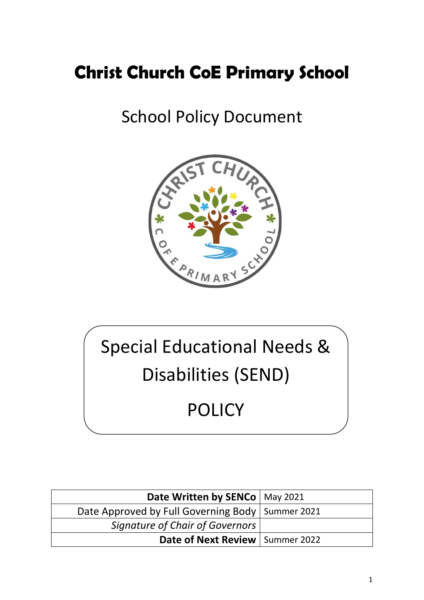# **Christ Church CoE Primary School**

# School Policy Document



# Special Educational Needs & Disabilities (SEND) POLICY

| Date Written by SENCo   May 2021                   |  |
|----------------------------------------------------|--|
| Date Approved by Full Governing Body   Summer 2021 |  |
| <b>Signature of Chair of Governors</b>             |  |
| Date of Next Review   Summer 2022                  |  |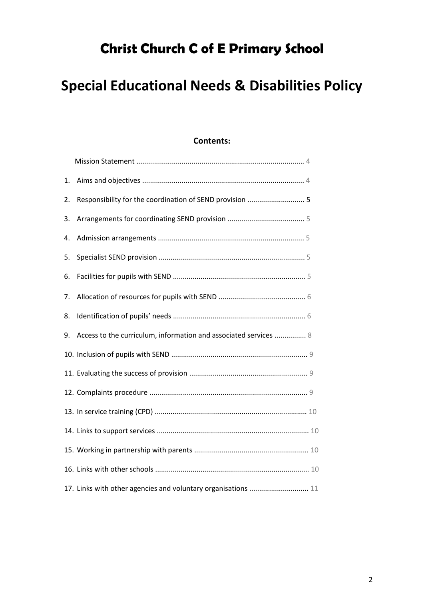# **Christ Church C of E Primary School**

# **Special Educational Needs & Disabilities Policy**

## **Contents:**

| 1. |                                                                  |  |
|----|------------------------------------------------------------------|--|
| 2. | Responsibility for the coordination of SEND provision  5         |  |
| 3. |                                                                  |  |
| 4. |                                                                  |  |
| 5. |                                                                  |  |
| 6. |                                                                  |  |
| 7. |                                                                  |  |
| 8. |                                                                  |  |
| 9. | Access to the curriculum, information and associated services  8 |  |
|    |                                                                  |  |
|    |                                                                  |  |
|    |                                                                  |  |
|    |                                                                  |  |
|    |                                                                  |  |
|    |                                                                  |  |
|    |                                                                  |  |
|    | 17. Links with other agencies and voluntary organisations  11    |  |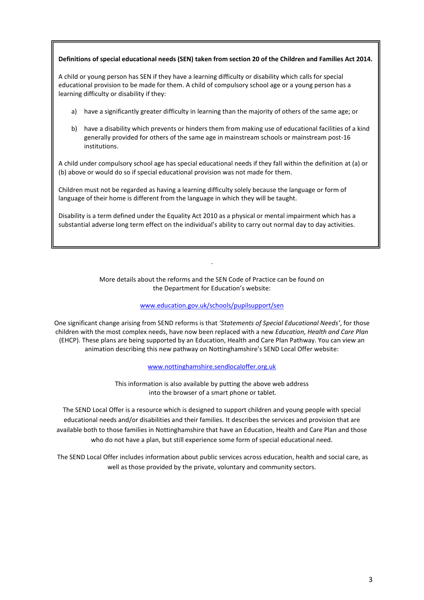#### **Definitions of special educational needs (SEN) taken from section 20 of the Children and Families Act 2014.**

A child or young person has SEN if they have a learning difficulty or disability which calls for special educational provision to be made for them. A child of compulsory school age or a young person has a learning difficulty or disability if they:

- a) have a significantly greater difficulty in learning than the majority of others of the same age; or
- b) have a disability which prevents or hinders them from making use of educational facilities of a kind generally provided for others of the same age in mainstream schools or mainstream post-16 institutions.

A child under compulsory school age has special educational needs if they fall within the definition at (a) or (b) above or would do so if special educational provision was not made for them.

Children must not be regarded as having a learning difficulty solely because the language or form of language of their home is different from the language in which they will be taught.

Disability is a term defined under the Equality Act 2010 as a physical or mental impairment which has a substantial adverse long term effect on the individual's ability to carry out normal day to day activities.

> More details about the reforms and the SEN Code of Practice can be found on the Department for Education's website:

.

#### [www.education.gov.uk/schools/pupilsupport/sen](http://www.education.gov.uk/schools/pupilsupport/sen)

One significant change arising from SEND reforms is that *'Statements of Special Educational Needs'*, for those children with the most complex needs, have now been replaced with a new *Education, Health and Care Plan* (EHCP). These plans are being supported by an Education, Health and Care Plan Pathway. You can view an animation describing this new pathway on Nottinghamshire's SEND Local Offer website:

[www.nottinghamshire.sendlocaloffer.org.uk](http://www.nottinghamshire.sendlocaloffer.org.uk/)

This information is also available by putting the above web address into the browser of a smart phone or tablet.

The SEND Local Offer is a resource which is designed to support children and young people with special educational needs and/or disabilities and their families. It describes the services and provision that are available both to those families in Nottinghamshire that have an Education, Health and Care Plan and those who do not have a plan, but still experience some form of special educational need.

The SEND Local Offer includes information about public services across education, health and social care, as well as those provided by the private, voluntary and community sectors.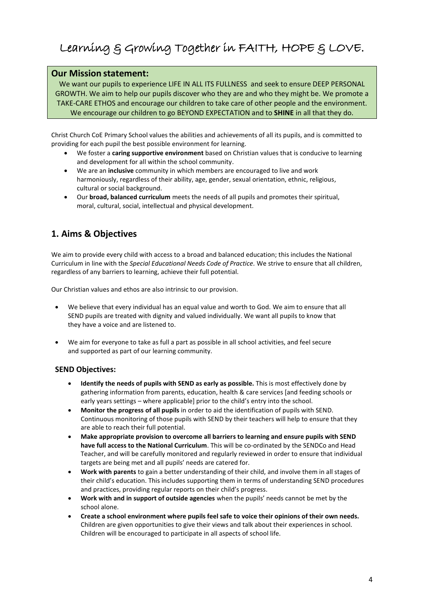# Learning & Growing Together in FAITH, HOPE & LOVE.

#### **Our Mission statement:**

We want our pupils to experience LIFE IN ALL ITS FULLNESS and seek to ensure DEEP PERSONAL GROWTH. We aim to help our pupils discover who they are and who they might be. We promote a TAKE-CARE ETHOS and encourage our children to take care of other people and the environment. We encourage our children to go BEYOND EXPECTATION and to **SHINE** in all that they do.

Christ Church CoE Primary School values the abilities and achievements of all its pupils, and is committed to providing for each pupil the best possible environment for learning.

- We foster a **caring supportive environment** based on Christian values that is conducive to learning and development for all within the school community.
- We are an **inclusive** community in which members are encouraged to live and work harmoniously, regardless of their ability, age, gender, sexual orientation, ethnic, religious, cultural or social background.
- Our **broad, balanced curriculum** meets the needs of all pupils and promotes their spiritual, moral, cultural, social, intellectual and physical development.

# **1. Aims & Objectives**

We aim to provide every child with access to a broad and balanced education; this includes the National Curriculum in line with the *Special Educational Needs Code of Practice.* We strive to ensure that all children, regardless of any barriers to learning, achieve their full potential.

Our Christian values and ethos are also intrinsic to our provision.

- We believe that every individual has an equal value and worth to God. We aim to ensure that all SEND pupils are treated with dignity and valued individually. We want all pupils to know that they have a voice and are listened to.
- We aim for everyone to take as full a part as possible in all school activities, and feel secure and supported as part of our learning community.

#### **SEND Objectives:**

- **Identify the needs of pupils with SEND as early as possible.** This is most effectively done by gathering information from parents, education, health & care services [and feeding schools or early years settings – where applicable] prior to the child's entry into the school.
- **Monitor the progress of all pupils** in order to aid the identification of pupils with SEND. Continuous monitoring of those pupils with SEND by their teachers will help to ensure that they are able to reach their full potential.
- **Make appropriate provision to overcome all barriers to learning and ensure pupils with SEND have full access to the National Curriculum**. This will be co-ordinated by the SENDCo and Head Teacher, and will be carefully monitored and regularly reviewed in order to ensure that individual targets are being met and all pupils' needs are catered for.
- **Work with parents** to gain a better understanding of their child, and involve them in all stages of their child's education. This includes supporting them in terms of understanding SEND procedures and practices, providing regular reports on their child's progress.
- **Work with and in support of outside agencies** when the pupils' needs cannot be met by the school alone.
- **Create a school environment where pupils feel safe to voice their opinions of their own needs.** Children are given opportunities to give their views and talk about their experiences in school. Children will be encouraged to participate in all aspects of school life.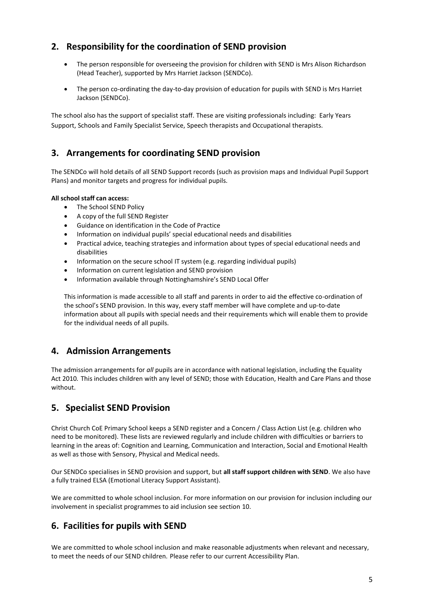# **2. Responsibility for the coordination of SEND provision**

- The person responsible for overseeing the provision for children with SEND is Mrs Alison Richardson (Head Teacher), supported by Mrs Harriet Jackson (SENDCo).
- The person co-ordinating the day-to-day provision of education for pupils with SEND is Mrs Harriet Jackson (SENDCo).

The school also has the support of specialist staff. These are visiting professionals including: Early Years Support, Schools and Family Specialist Service, Speech therapists and Occupational therapists.

# **3. Arrangements for coordinating SEND provision**

The SENDCo will hold details of all SEND Support records (such as provision maps and Individual Pupil Support Plans) and monitor targets and progress for individual pupils.

#### **All school staff can access:**

- The School SEND Policy
- A copy of the full SEND Register
- Guidance on identification in the Code of Practice
- Information on individual pupils' special educational needs and disabilities
- Practical advice, teaching strategies and information about types of special educational needs and disabilities
- Information on the secure school IT system (e.g. regarding individual pupils)
- Information on current legislation and SEND provision
- Information available through Nottinghamshire's SEND Local Offer

This information is made accessible to all staff and parents in order to aid the effective co-ordination of the school's SEND provision. In this way, every staff member will have complete and up-to-date information about all pupils with special needs and their requirements which will enable them to provide for the individual needs of all pupils.

## **4. Admission Arrangements**

The admission arrangements for *all* pupils are in accordance with national legislation, including the Equality Act 2010*.* This includes children with any level of SEND; those with Education, Health and Care Plans and those without.

# **5. Specialist SEND Provision**

Christ Church CoE Primary School keeps a SEND register and a Concern / Class Action List (e.g. children who need to be monitored). These lists are reviewed regularly and include children with difficulties or barriers to learning in the areas of: Cognition and Learning, Communication and Interaction, Social and Emotional Health as well as those with Sensory, Physical and Medical needs.

Our SENDCo specialises in SEND provision and support, but **all staff support children with SEND**. We also have a fully trained ELSA (Emotional Literacy Support Assistant).

We are committed to whole school inclusion. For more information on our provision for inclusion including our involvement in specialist programmes to aid inclusion see section 10.

## **6. Facilities for pupils with SEND**

We are committed to whole school inclusion and make reasonable adjustments when relevant and necessary, to meet the needs of our SEND children. Please refer to our current Accessibility Plan.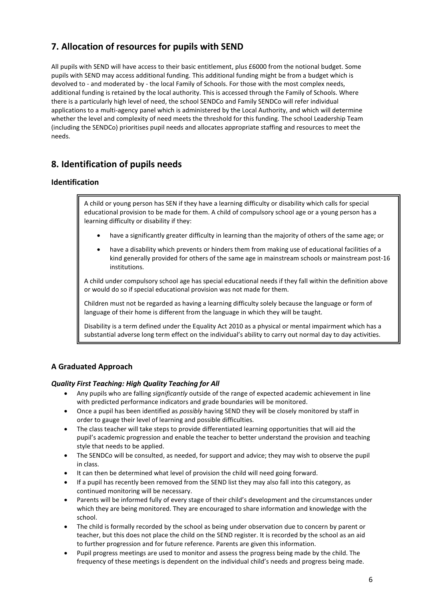# **7. Allocation of resources for pupils with SEND**

All pupils with SEND will have access to their basic entitlement, plus £6000 from the notional budget. Some pupils with SEND may access additional funding. This additional funding might be from a budget which is devolved to - and moderated by - the local Family of Schools. For those with the most complex needs, additional funding is retained by the local authority. This is accessed through the Family of Schools. Where there is a particularly high level of need, the school SENDCo and Family SENDCo will refer individual applications to a multi-agency panel which is administered by the Local Authority, and which will determine whether the level and complexity of need meets the threshold for this funding. The school Leadership Team (including the SENDCo) prioritises pupil needs and allocates appropriate staffing and resources to meet the needs.

# **8. Identification of pupils needs**

#### **Identification**

A child or young person has SEN if they have a learning difficulty or disability which calls for special educational provision to be made for them. A child of compulsory school age or a young person has a learning difficulty or disability if they:

- have a significantly greater difficulty in learning than the majority of others of the same age; or
- have a disability which prevents or hinders them from making use of educational facilities of a kind generally provided for others of the same age in mainstream schools or mainstream post-16 institutions.

A child under compulsory school age has special educational needs if they fall within the definition above or would do so if special educational provision was not made for them.

Children must not be regarded as having a learning difficulty solely because the language or form of language of their home is different from the language in which they will be taught.

Disability is a term defined under the Equality Act 2010 as a physical or mental impairment which has a substantial adverse long term effect on the individual's ability to carry out normal day to day activities.

#### **A Graduated Approach**

#### *Quality First Teaching: High Quality Teaching for All*

- Any pupils who are falling *significantly* outside of the range of expected academic achievement in line with predicted performance indicators and grade boundaries will be monitored.
- Once a pupil has been identified as *possibly* having SEND they will be closely monitored by staff in order to gauge their level of learning and possible difficulties.
- The class teacher will take steps to provide differentiated learning opportunities that will aid the pupil's academic progression and enable the teacher to better understand the provision and teaching style that needs to be applied.
- The SENDCo will be consulted, as needed, for support and advice; they may wish to observe the pupil in class.
- It can then be determined what level of provision the child will need going forward.
- If a pupil has recently been removed from the SEND list they may also fall into this category, as continued monitoring will be necessary.
- Parents will be informed fully of every stage of their child's development and the circumstances under which they are being monitored. They are encouraged to share information and knowledge with the school.
- The child is formally recorded by the school as being under observation due to concern by parent or teacher, but this does not place the child on the SEND register. It is recorded by the school as an aid to further progression and for future reference. Parents are given this information.
- Pupil progress meetings are used to monitor and assess the progress being made by the child. The frequency of these meetings is dependent on the individual child's needs and progress being made.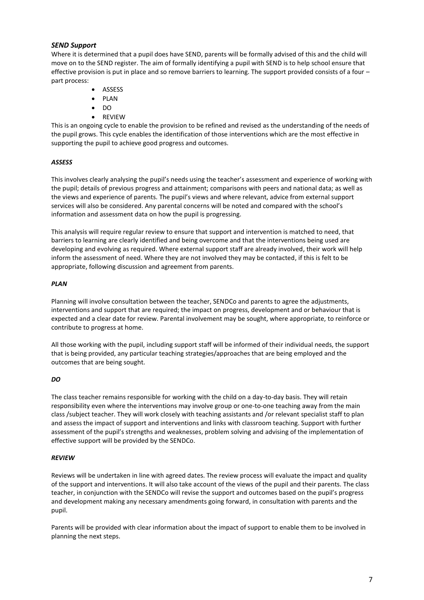#### *SEND Support*

Where it is determined that a pupil does have SEND, parents will be formally advised of this and the child will move on to the SEND register. The aim of formally identifying a pupil with SEND is to help school ensure that effective provision is put in place and so remove barriers to learning. The support provided consists of a four – part process:

- ASSESS
- PLAN
- DO
- REVIEW

This is an ongoing cycle to enable the provision to be refined and revised as the understanding of the needs of the pupil grows. This cycle enables the identification of those interventions which are the most effective in supporting the pupil to achieve good progress and outcomes.

#### *ASSESS*

This involves clearly analysing the pupil's needs using the teacher's assessment and experience of working with the pupil; details of previous progress and attainment; comparisons with peers and national data; as well as the views and experience of parents. The pupil's views and where relevant, advice from external support services will also be considered. Any parental concerns will be noted and compared with the school's information and assessment data on how the pupil is progressing.

This analysis will require regular review to ensure that support and intervention is matched to need, that barriers to learning are clearly identified and being overcome and that the interventions being used are developing and evolving as required. Where external support staff are already involved, their work will help inform the assessment of need. Where they are not involved they may be contacted, if this is felt to be appropriate, following discussion and agreement from parents.

#### *PLAN*

Planning will involve consultation between the teacher, SENDCo and parents to agree the adjustments, interventions and support that are required; the impact on progress, development and or behaviour that is expected and a clear date for review. Parental involvement may be sought, where appropriate, to reinforce or contribute to progress at home.

All those working with the pupil, including support staff will be informed of their individual needs, the support that is being provided, any particular teaching strategies/approaches that are being employed and the outcomes that are being sought.

#### *DO*

The class teacher remains responsible for working with the child on a day-to-day basis. They will retain responsibility even where the interventions may involve group or one-to-one teaching away from the main class /subject teacher. They will work closely with teaching assistants and /or relevant specialist staff to plan and assess the impact of support and interventions and links with classroom teaching. Support with further assessment of the pupil's strengths and weaknesses, problem solving and advising of the implementation of effective support will be provided by the SENDCo.

#### *REVIEW*

Reviews will be undertaken in line with agreed dates. The review process will evaluate the impact and quality of the support and interventions. It will also take account of the views of the pupil and their parents. The class teacher, in conjunction with the SENDCo will revise the support and outcomes based on the pupil's progress and development making any necessary amendments going forward, in consultation with parents and the pupil.

Parents will be provided with clear information about the impact of support to enable them to be involved in planning the next steps.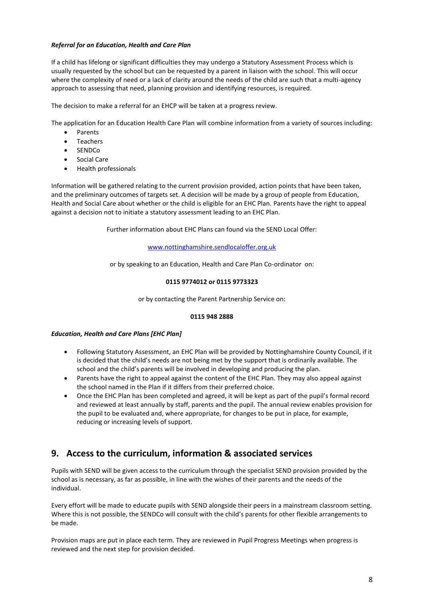#### *Referral for an Education, Health and Care Plan*

If a child has lifelong or significant difficulties they may undergo a Statutory Assessment Process which is usually requested by the school but can be requested by a parent in liaison with the school. This will occur where the complexity of need or a lack of clarity around the needs of the child are such that a multi-agency approach to assessing that need, planning provision and identifying resources, is required.

The decision to make a referral for an EHCP will be taken at a progress review.

The application for an Education Health Care Plan will combine information from a variety of sources including:

- Parents
- Teachers
- SENDCo
- Social Care
- Health professionals

Information will be gathered relating to the current provision provided, action points that have been taken, and the preliminary outcomes of targets set. A decision will be made by a group of people from Education, Health and Social Care about whether or the child is eligible for an EHC Plan. Parents have the right to appeal against a decision not to initiate a statutory assessment leading to an EHC Plan.

Further information about EHC Plans can found via the SEND Local Offer:

#### [www.nottinghamshire.sendlocaloffer.org.uk](http://www.nottinghamshire.sendlocaloffer.org.uk/)

or by speaking to an Education, Health and Care Plan Co-ordinator on:

#### **0115 9774012 or 0115 9773323**

or by contacting the Parent Partnership Service on:

#### **0115 948 2888**

#### *Education, Health and Care Plans [EHC Plan]*

- Following Statutory Assessment, an EHC Plan will be provided by Nottinghamshire County Council, if it is decided that the child's needs are not being met by the support that is ordinarily available. The school and the child's parents will be involved in developing and producing the plan.
- Parents have the right to appeal against the content of the EHC Plan. They may also appeal against the school named in the Plan if it differs from their preferred choice.
- Once the EHC Plan has been completed and agreed, it will be kept as part of the pupil's formal record and reviewed at least annually by staff, parents and the pupil. The annual review enables provision for the pupil to be evaluated and, where appropriate, for changes to be put in place, for example, reducing or increasing levels of support.

# **9. Access to the curriculum, information & associated services**

Pupils with SEND will be given access to the curriculum through the specialist SEND provision provided by the school as is necessary, as far as possible, in line with the wishes of their parents and the needs of the individual.

Every effort will be made to educate pupils with SEND alongside their peers in a mainstream classroom setting. Where this is not possible, the SENDCo will consult with the child's parents for other flexible arrangements to be made.

Provision maps are put in place each term. They are reviewed in Pupil Progress Meetings when progress is reviewed and the next step for provision decided.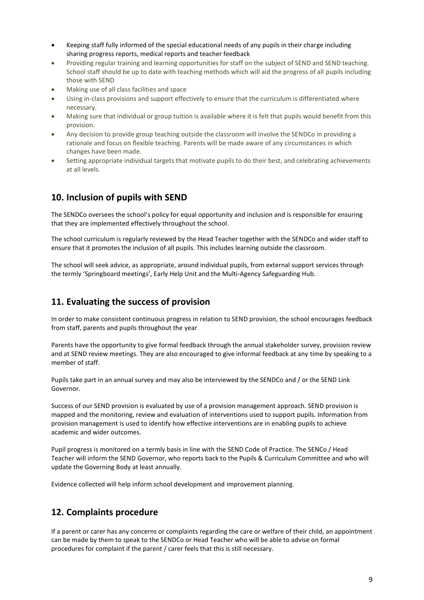- Keeping staff fully informed of the special educational needs of any pupils in their charge including sharing progress reports, medical reports and teacher feedback
- Providing regular training and learning opportunities for staff on the subject of SEND and SEND teaching. School staff should be up to date with teaching methods which will aid the progress of all pupils including those with SEND
- Making use of all class facilities and space
- Using in-class provisions and support effectively to ensure that the curriculum is differentiated where necessary.
- Making sure that individual or group tuition is available where it is felt that pupils would benefit from this provision.
- Any decision to provide group teaching outside the classroom will involve the SENDCo in providing a rationale and focus on flexible teaching. Parents will be made aware of any circumstances in which changes have been made.
- Setting appropriate individual targets that motivate pupils to do their best, and celebrating achievements at all levels.

## **10. Inclusion of pupils with SEND**

The SENDCo oversees the school's policy for equal opportunity and inclusion and is responsible for ensuring that they are implemented effectively throughout the school.

The school curriculum is regularly reviewed by the Head Teacher together with the SENDCo and wider staff to ensure that it promotes the inclusion of all pupils. This includes learning outside the classroom.

The school will seek advice, as appropriate, around individual pupils, from external support services through the termly 'Springboard meetings', Early Help Unit and the Multi-Agency Safeguarding Hub.

# **11. Evaluating the success of provision**

In order to make consistent continuous progress in relation to SEND provision, the school encourages feedback from staff, parents and pupils throughout the year.

Parents have the opportunity to give formal feedback through the annual stakeholder survey, provision review and at SEND review meetings. They are also encouraged to give informal feedback at any time by speaking to a member of staff.

Pupils take part in an annual survey and may also be interviewed by the SENDCo and / or the SEND Link Governor.

Success of our SEND provision is evaluated by use of a provision management approach. SEND provision is mapped and the monitoring, review and evaluation of interventions used to support pupils. Information from provision management is used to identify how effective interventions are in enabling pupils to achieve academic and wider outcomes.

Pupil progress is monitored on a termly basis in line with the SEND Code of Practice. The SENCo / Head Teacher will inform the SEND Governor, who reports back to the Pupils & Curriculum Committee and who will update the Governing Body at least annually.

Evidence collected will help inform school development and improvement planning.

# **12. Complaints procedure**

If a parent or carer has any concerns or complaints regarding the care or welfare of their child, an appointment can be made by them to speak to the SENDCo or Head Teacher who will be able to advise on formal procedures for complaint if the parent / carer feels that this is still necessary.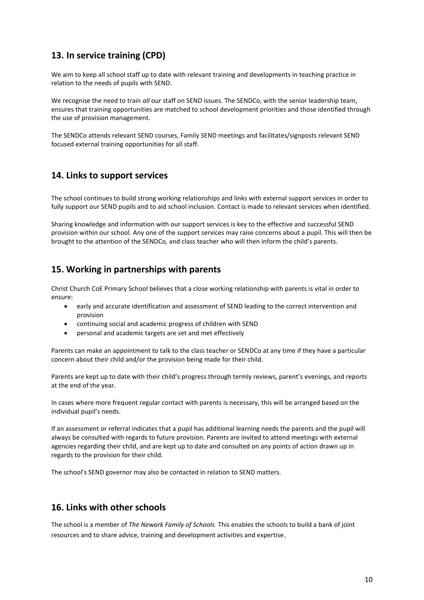# **13. In service training (CPD)**

We aim to keep all school staff up to date with relevant training and developments in teaching practice in relation to the needs of pupils with SEND.

We recognise the need to train *all* our staff on SEND issues. The SENDCo, with the senior leadership team, ensures that training opportunities are matched to school development priorities and those identified through the use of provision management.

The SENDCo attends relevant SEND courses, Family SEND meetings and facilitates/signposts relevant SEND focused external training opportunities for all staff.

## **14. Links to support services**

The school continues to build strong working relationships and links with external support services in order to fully support our SEND pupils and to aid school inclusion. Contact is made to relevant services when identified.

Sharing knowledge and information with our support services is key to the effective and successful SEND provision within our school. Any one of the support services may raise concerns about a pupil. This will then be brought to the attention of the SENDCo*,* and class teacher who will then inform the child's parents.

# **15. Working in partnerships with parents**

Christ Church CoE Primary School believes that a close working relationship with parents is vital in order to ensure:

- early and accurate identification and assessment of SEND leading to the correct intervention and provision
- continuing social and academic progress of children with SEND
- personal and academic targets are set and met effectively

Parents can make an appointment to talk to the class teacher or SENDCo at any time if they have a particular concern about their child and/or the provision being made for their child.

Parents are kept up to date with their child's progress through termly reviews, parent's evenings, and reports at the end of the year.

In cases where more frequent regular contact with parents is necessary, this will be arranged based on the individual pupil's needs.

If an assessment or referral indicates that a pupil has additional learning needs the parents and the pupil will always be consulted with regards to future provision. Parents are invited to attend meetings with external agencies regarding their child, and are kept up to date and consulted on any points of action drawn up in regards to the provision for their child.

The school's SEND governor may also be contacted in relation to SEND matters.

## **16. Links with other schools**

The school is a member of *The Newark Family of Schools.* This enables the schools to build a bank of joint resources and to share advice, training and development activities and expertise.